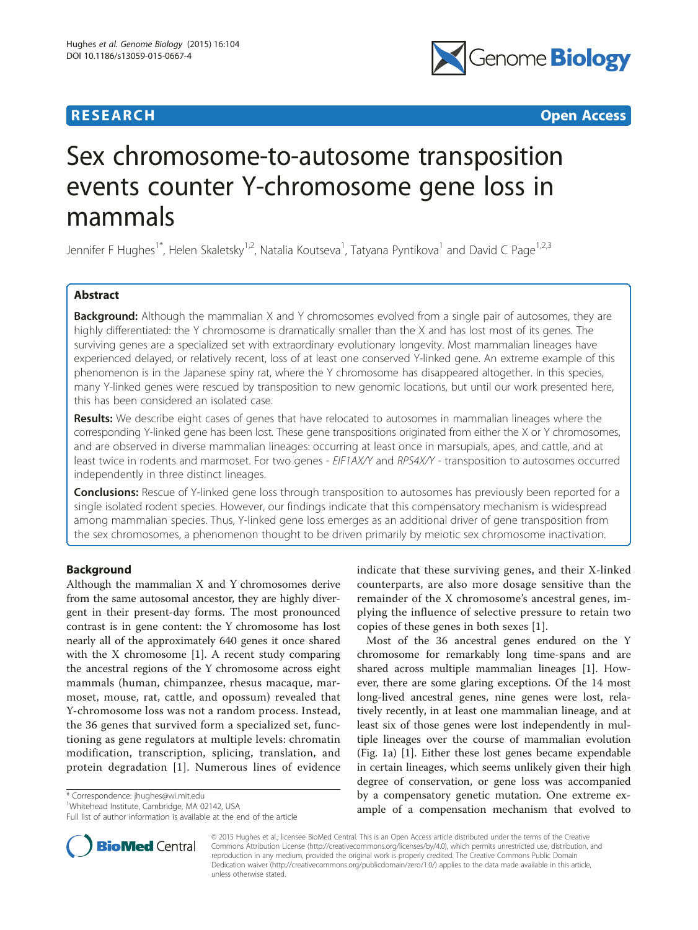## **RESEARCH CHEAR CHEAR CHEAR CHEAR CHEAR CHEAR CHEAR CHEAR CHEAR CHEAR CHEAR CHEAR CHEAR CHEAR CHEAR CHEAR CHEAR**



# Sex chromosome-to-autosome transposition events counter Y-chromosome gene loss in mammals

Jennifer F Hughes<sup>1\*</sup>, Helen Skaletsky<sup>1,2</sup>, Natalia Koutseva<sup>1</sup>, Tatyana Pyntikova<sup>1</sup> and David C Page<sup>1,2,3</sup>

## Abstract

**Background:** Although the mammalian X and Y chromosomes evolved from a single pair of autosomes, they are highly differentiated: the Y chromosome is dramatically smaller than the X and has lost most of its genes. The surviving genes are a specialized set with extraordinary evolutionary longevity. Most mammalian lineages have experienced delayed, or relatively recent, loss of at least one conserved Y-linked gene. An extreme example of this phenomenon is in the Japanese spiny rat, where the Y chromosome has disappeared altogether. In this species, many Y-linked genes were rescued by transposition to new genomic locations, but until our work presented here, this has been considered an isolated case.

Results: We describe eight cases of genes that have relocated to autosomes in mammalian lineages where the corresponding Y-linked gene has been lost. These gene transpositions originated from either the X or Y chromosomes, and are observed in diverse mammalian lineages: occurring at least once in marsupials, apes, and cattle, and at least twice in rodents and marmoset. For two genes - EIF1AX/Y and RPS4X/Y - transposition to autosomes occurred independently in three distinct lineages.

**Conclusions:** Rescue of Y-linked gene loss through transposition to autosomes has previously been reported for a single isolated rodent species. However, our findings indicate that this compensatory mechanism is widespread among mammalian species. Thus, Y-linked gene loss emerges as an additional driver of gene transposition from the sex chromosomes, a phenomenon thought to be driven primarily by meiotic sex chromosome inactivation.

## Background

Although the mammalian X and Y chromosomes derive from the same autosomal ancestor, they are highly divergent in their present-day forms. The most pronounced contrast is in gene content: the Y chromosome has lost nearly all of the approximately 640 genes it once shared with the X chromosome [\[1](#page-8-0)]. A recent study comparing the ancestral regions of the Y chromosome across eight mammals (human, chimpanzee, rhesus macaque, marmoset, mouse, rat, cattle, and opossum) revealed that Y-chromosome loss was not a random process. Instead, the 36 genes that survived form a specialized set, functioning as gene regulators at multiple levels: chromatin modification, transcription, splicing, translation, and protein degradation [[1](#page-8-0)]. Numerous lines of evidence

\* Correspondence: [jhughes@wi.mit.edu](mailto:jhughes@wi.mit.edu) <sup>1</sup>

<sup>1</sup>Whitehead Institute, Cambridge, MA 02142, USA

Full list of author information is available at the end of the article



Most of the 36 ancestral genes endured on the Y chromosome for remarkably long time-spans and are shared across multiple mammalian lineages [\[1\]](#page-8-0). However, there are some glaring exceptions. Of the 14 most long-lived ancestral genes, nine genes were lost, relatively recently, in at least one mammalian lineage, and at least six of those genes were lost independently in multiple lineages over the course of mammalian evolution (Fig. [1a\)](#page-2-0) [[1\]](#page-8-0). Either these lost genes became expendable in certain lineages, which seems unlikely given their high degree of conservation, or gene loss was accompanied by a compensatory genetic mutation. One extreme example of a compensation mechanism that evolved to



© 2015 Hughes et al.; licensee BioMed Central. This is an Open Access article distributed under the terms of the Creative Commons Attribution License [\(http://creativecommons.org/licenses/by/4.0\)](http://creativecommons.org/licenses/by/4.0), which permits unrestricted use, distribution, and reproduction in any medium, provided the original work is properly credited. The Creative Commons Public Domain Dedication waiver [\(http://creativecommons.org/publicdomain/zero/1.0/](http://creativecommons.org/publicdomain/zero/1.0/)) applies to the data made available in this article, unless otherwise stated.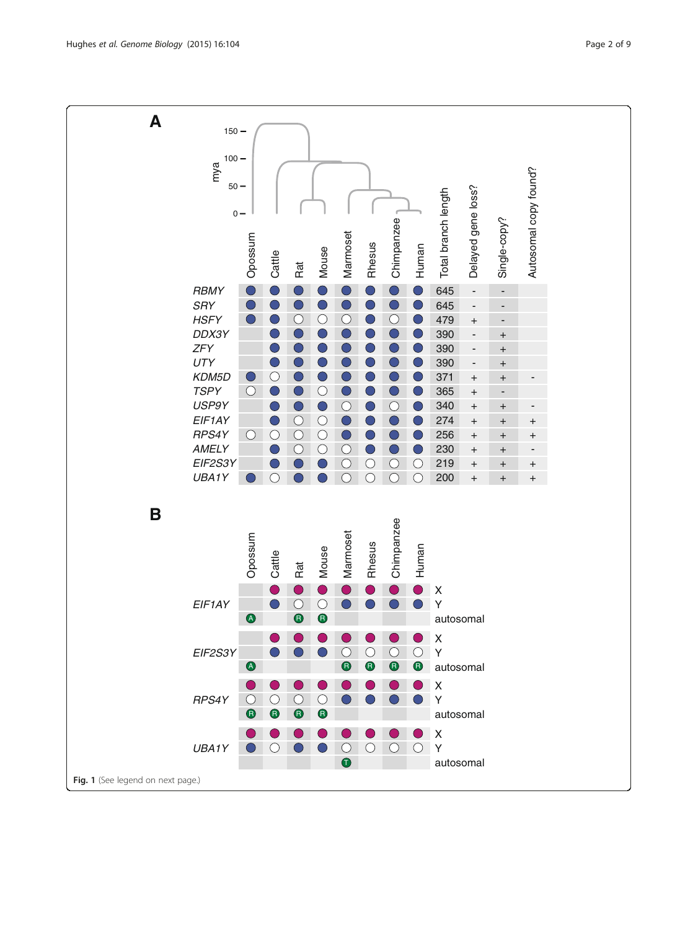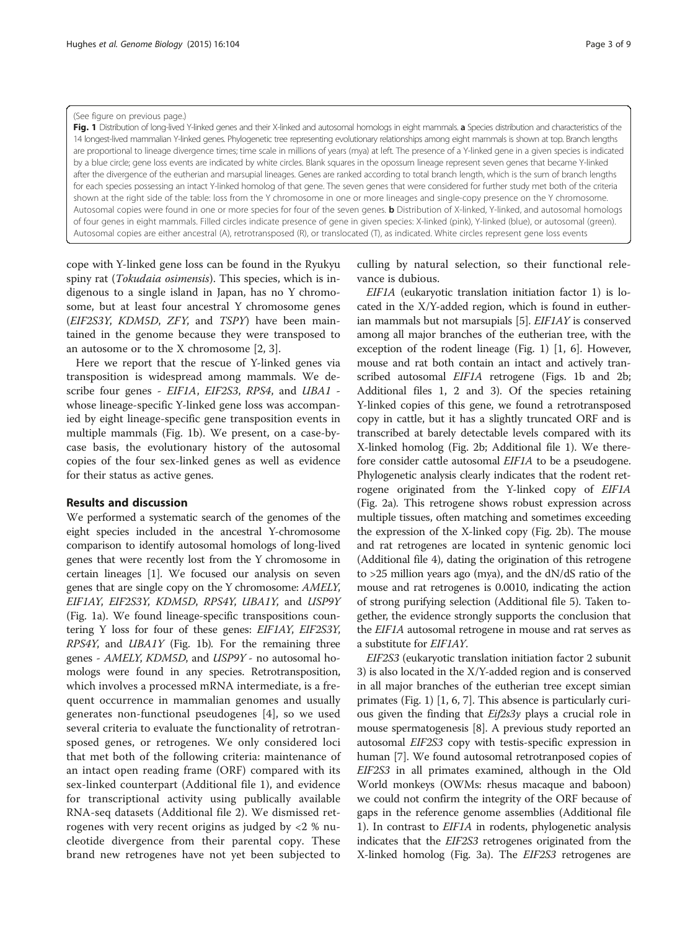#### <span id="page-2-0"></span>(See figure on previous page.)

Fig. 1 Distribution of long-lived Y-linked genes and their X-linked and autosomal homologs in eight mammals. a Species distribution and characteristics of the 14 longest-lived mammalian Y-linked genes. Phylogenetic tree representing evolutionary relationships among eight mammals is shown at top. Branch lengths are proportional to lineage divergence times; time scale in millions of years (mya) at left. The presence of a Y-linked gene in a given species is indicated by a blue circle; gene loss events are indicated by white circles. Blank squares in the opossum lineage represent seven genes that became Y-linked after the divergence of the eutherian and marsupial lineages. Genes are ranked according to total branch length, which is the sum of branch lengths for each species possessing an intact Y-linked homolog of that gene. The seven genes that were considered for further study met both of the criteria shown at the right side of the table: loss from the Y chromosome in one or more lineages and single-copy presence on the Y chromosome. Autosomal copies were found in one or more species for four of the seven genes. **b** Distribution of X-linked, Y-linked, and autosomal homologs of four genes in eight mammals. Filled circles indicate presence of gene in given species: X-linked (pink), Y-linked (blue), or autosomal (green). Autosomal copies are either ancestral (A), retrotransposed (R), or translocated (T), as indicated. White circles represent gene loss events

cope with Y-linked gene loss can be found in the Ryukyu spiny rat (*Tokudaia osimensis*). This species, which is indigenous to a single island in Japan, has no Y chromosome, but at least four ancestral Y chromosome genes (EIF2S3Y, KDM5D, ZFY, and TSPY) have been maintained in the genome because they were transposed to an autosome or to the X chromosome [[2, 3\]](#page-8-0).

Here we report that the rescue of Y-linked genes via transposition is widespread among mammals. We describe four genes - EIF1A, EIF2S3, RPS4, and UBA1 whose lineage-specific Y-linked gene loss was accompanied by eight lineage-specific gene transposition events in multiple mammals (Fig. 1b). We present, on a case-bycase basis, the evolutionary history of the autosomal copies of the four sex-linked genes as well as evidence for their status as active genes.

#### Results and discussion

We performed a systematic search of the genomes of the eight species included in the ancestral Y-chromosome comparison to identify autosomal homologs of long-lived genes that were recently lost from the Y chromosome in certain lineages [[1\]](#page-8-0). We focused our analysis on seven genes that are single copy on the Y chromosome: AMELY, EIF1AY, EIF2S3Y, KDM5D, RPS4Y, UBA1Y, and USP9Y (Fig. 1a). We found lineage-specific transpositions countering Y loss for four of these genes: EIF1AY, EIF2S3Y, RPS4Y, and UBA1Y (Fig. 1b). For the remaining three genes - AMELY, KDM5D, and USP9Y - no autosomal homologs were found in any species. Retrotransposition, which involves a processed mRNA intermediate, is a frequent occurrence in mammalian genomes and usually generates non-functional pseudogenes [\[4](#page-8-0)], so we used several criteria to evaluate the functionality of retrotransposed genes, or retrogenes. We only considered loci that met both of the following criteria: maintenance of an intact open reading frame (ORF) compared with its sex-linked counterpart (Additional file [1\)](#page-7-0), and evidence for transcriptional activity using publically available RNA-seq datasets (Additional file [2\)](#page-7-0). We dismissed retrogenes with very recent origins as judged by <2 % nucleotide divergence from their parental copy. These brand new retrogenes have not yet been subjected to

culling by natural selection, so their functional relevance is dubious.

EIF1A (eukaryotic translation initiation factor 1) is located in the X/Y-added region, which is found in eutherian mammals but not marsupials [\[5](#page-8-0)]. EIF1AY is conserved among all major branches of the eutherian tree, with the exception of the rodent lineage (Fig. 1) [[1, 6\]](#page-8-0). However, mouse and rat both contain an intact and actively transcribed autosomal *EIF1A* retrogene (Figs. 1b and [2b](#page-3-0); Additional files [1](#page-7-0), [2](#page-7-0) and [3](#page-7-0)). Of the species retaining Y-linked copies of this gene, we found a retrotransposed copy in cattle, but it has a slightly truncated ORF and is transcribed at barely detectable levels compared with its X-linked homolog (Fig. [2b;](#page-3-0) Additional file [1](#page-7-0)). We therefore consider cattle autosomal EIF1A to be a pseudogene. Phylogenetic analysis clearly indicates that the rodent retrogene originated from the Y-linked copy of EIF1A (Fig. [2a](#page-3-0)). This retrogene shows robust expression across multiple tissues, often matching and sometimes exceeding the expression of the X-linked copy (Fig. [2b](#page-3-0)). The mouse and rat retrogenes are located in syntenic genomic loci (Additional file [4](#page-7-0)), dating the origination of this retrogene to >25 million years ago (mya), and the dN/dS ratio of the mouse and rat retrogenes is 0.0010, indicating the action of strong purifying selection (Additional file [5\)](#page-8-0). Taken together, the evidence strongly supports the conclusion that the EIF1A autosomal retrogene in mouse and rat serves as a substitute for EIF1AY.

EIF2S3 (eukaryotic translation initiation factor 2 subunit 3) is also located in the X/Y-added region and is conserved in all major branches of the eutherian tree except simian primates (Fig. 1) [[1, 6](#page-8-0), [7](#page-8-0)]. This absence is particularly curious given the finding that Eif2s3y plays a crucial role in mouse spermatogenesis [\[8](#page-8-0)]. A previous study reported an autosomal EIF2S3 copy with testis-specific expression in human [\[7\]](#page-8-0). We found autosomal retrotranposed copies of EIF2S3 in all primates examined, although in the Old World monkeys (OWMs: rhesus macaque and baboon) we could not confirm the integrity of the ORF because of gaps in the reference genome assemblies (Additional file [1\)](#page-7-0). In contrast to *EIF1A* in rodents, phylogenetic analysis indicates that the EIF2S3 retrogenes originated from the X-linked homolog (Fig. [3a\)](#page-4-0). The EIF2S3 retrogenes are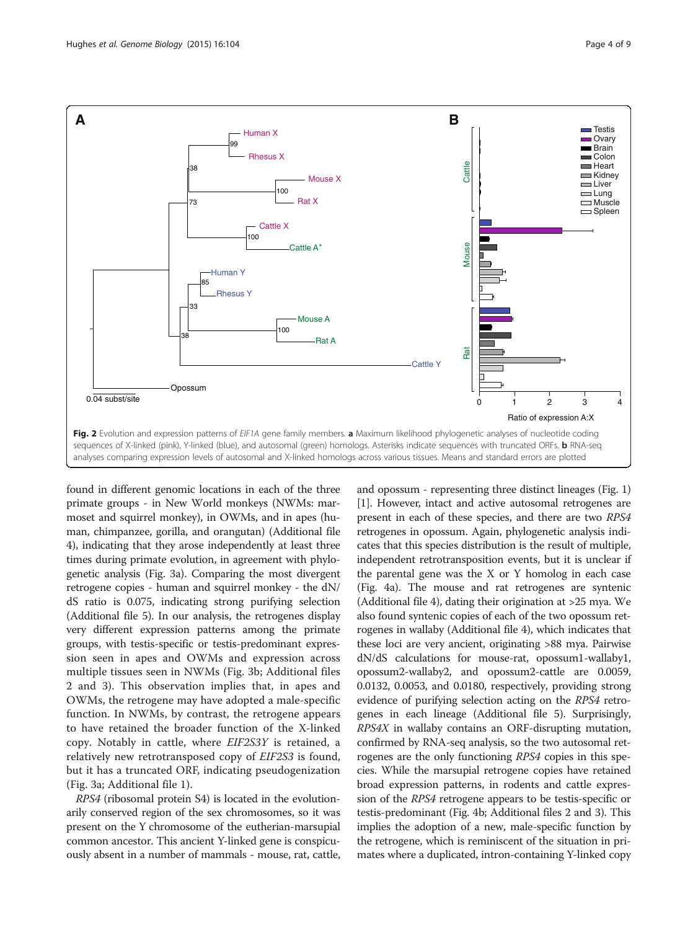

<span id="page-3-0"></span>

found in different genomic locations in each of the three primate groups - in New World monkeys (NWMs: marmoset and squirrel monkey), in OWMs, and in apes (human, chimpanzee, gorilla, and orangutan) (Additional file [4\)](#page-7-0), indicating that they arose independently at least three times during primate evolution, in agreement with phylogenetic analysis (Fig. [3a](#page-4-0)). Comparing the most divergent retrogene copies - human and squirrel monkey - the dN/ dS ratio is 0.075, indicating strong purifying selection (Additional file [5](#page-8-0)). In our analysis, the retrogenes display very different expression patterns among the primate groups, with testis-specific or testis-predominant expression seen in apes and OWMs and expression across multiple tissues seen in NWMs (Fig. [3b;](#page-4-0) Additional files [2](#page-7-0) and [3](#page-7-0)). This observation implies that, in apes and OWMs, the retrogene may have adopted a male-specific function. In NWMs, by contrast, the retrogene appears to have retained the broader function of the X-linked copy. Notably in cattle, where EIF2S3Y is retained, a relatively new retrotransposed copy of EIF2S3 is found, but it has a truncated ORF, indicating pseudogenization (Fig. [3a;](#page-4-0) Additional file [1\)](#page-7-0).

RPS4 (ribosomal protein S4) is located in the evolutionarily conserved region of the sex chromosomes, so it was present on the Y chromosome of the eutherian-marsupial common ancestor. This ancient Y-linked gene is conspicuously absent in a number of mammals - mouse, rat, cattle,

and opossum - representing three distinct lineages (Fig. [1](#page-2-0)) [[1\]](#page-8-0). However, intact and active autosomal retrogenes are present in each of these species, and there are two RPS4 retrogenes in opossum. Again, phylogenetic analysis indicates that this species distribution is the result of multiple, independent retrotransposition events, but it is unclear if the parental gene was the X or Y homolog in each case (Fig. [4a](#page-5-0)). The mouse and rat retrogenes are syntenic (Additional file [4](#page-7-0)), dating their origination at >25 mya. We also found syntenic copies of each of the two opossum retrogenes in wallaby (Additional file [4\)](#page-7-0), which indicates that these loci are very ancient, originating >88 mya. Pairwise dN/dS calculations for mouse-rat, opossum1-wallaby1, opossum2-wallaby2, and opossum2-cattle are 0.0059, 0.0132, 0.0053, and 0.0180, respectively, providing strong evidence of purifying selection acting on the RPS4 retrogenes in each lineage (Additional file [5\)](#page-8-0). Surprisingly, RPS4X in wallaby contains an ORF-disrupting mutation, confirmed by RNA-seq analysis, so the two autosomal retrogenes are the only functioning RPS4 copies in this species. While the marsupial retrogene copies have retained broad expression patterns, in rodents and cattle expression of the RPS4 retrogene appears to be testis-specific or testis-predominant (Fig. [4b](#page-5-0); Additional files [2](#page-7-0) and [3\)](#page-7-0). This implies the adoption of a new, male-specific function by the retrogene, which is reminiscent of the situation in primates where a duplicated, intron-containing Y-linked copy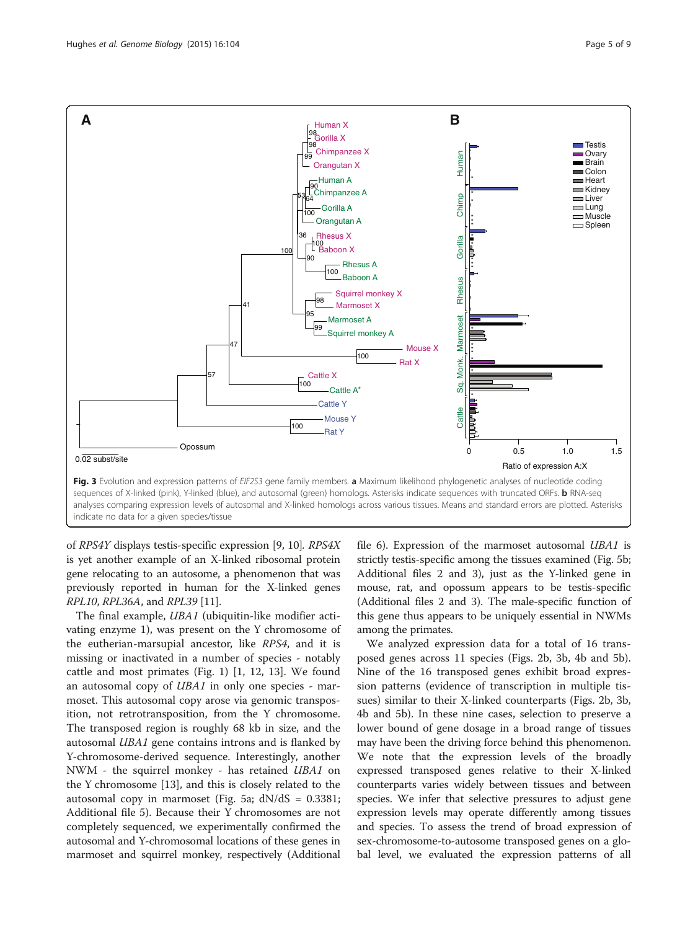<span id="page-4-0"></span>

indicate no data for a given species/tissue

of RPS4Y displays testis-specific expression [[9, 10](#page-8-0)]. RPS4X is yet another example of an X-linked ribosomal protein gene relocating to an autosome, a phenomenon that was previously reported in human for the X-linked genes RPL10, RPL36A, and RPL39 [\[11\]](#page-8-0).

The final example, *UBA1* (ubiquitin-like modifier activating enzyme 1), was present on the Y chromosome of the eutherian-marsupial ancestor, like RPS4, and it is missing or inactivated in a number of species - notably cattle and most primates (Fig. [1\)](#page-2-0) [\[1](#page-8-0), [12](#page-8-0), [13\]](#page-8-0). We found an autosomal copy of UBA1 in only one species - marmoset. This autosomal copy arose via genomic transposition, not retrotransposition, from the Y chromosome. The transposed region is roughly 68 kb in size, and the autosomal UBA1 gene contains introns and is flanked by Y-chromosome-derived sequence. Interestingly, another NWM - the squirrel monkey - has retained UBA1 on the Y chromosome [\[13](#page-8-0)], and this is closely related to the autosomal copy in marmoset (Fig. [5a;](#page-6-0)  $dN/dS = 0.3381$ ; Additional file [5](#page-8-0)). Because their Y chromosomes are not completely sequenced, we experimentally confirmed the autosomal and Y-chromosomal locations of these genes in marmoset and squirrel monkey, respectively (Additional

file [6](#page-8-0)). Expression of the marmoset autosomal UBA1 is strictly testis-specific among the tissues examined (Fig. [5b](#page-6-0); Additional files [2](#page-7-0) and [3\)](#page-7-0), just as the Y-linked gene in mouse, rat, and opossum appears to be testis-specific (Additional files [2](#page-7-0) and [3](#page-7-0)). The male-specific function of this gene thus appears to be uniquely essential in NWMs among the primates.

We analyzed expression data for a total of 16 transposed genes across 11 species (Figs. [2b,](#page-3-0) 3b, [4b](#page-5-0) and [5b](#page-6-0)). Nine of the 16 transposed genes exhibit broad expression patterns (evidence of transcription in multiple tissues) similar to their X-linked counterparts (Figs. [2b](#page-3-0), 3b, [4b](#page-5-0) and [5b\)](#page-6-0). In these nine cases, selection to preserve a lower bound of gene dosage in a broad range of tissues may have been the driving force behind this phenomenon. We note that the expression levels of the broadly expressed transposed genes relative to their X-linked counterparts varies widely between tissues and between species. We infer that selective pressures to adjust gene expression levels may operate differently among tissues and species. To assess the trend of broad expression of sex-chromosome-to-autosome transposed genes on a global level, we evaluated the expression patterns of all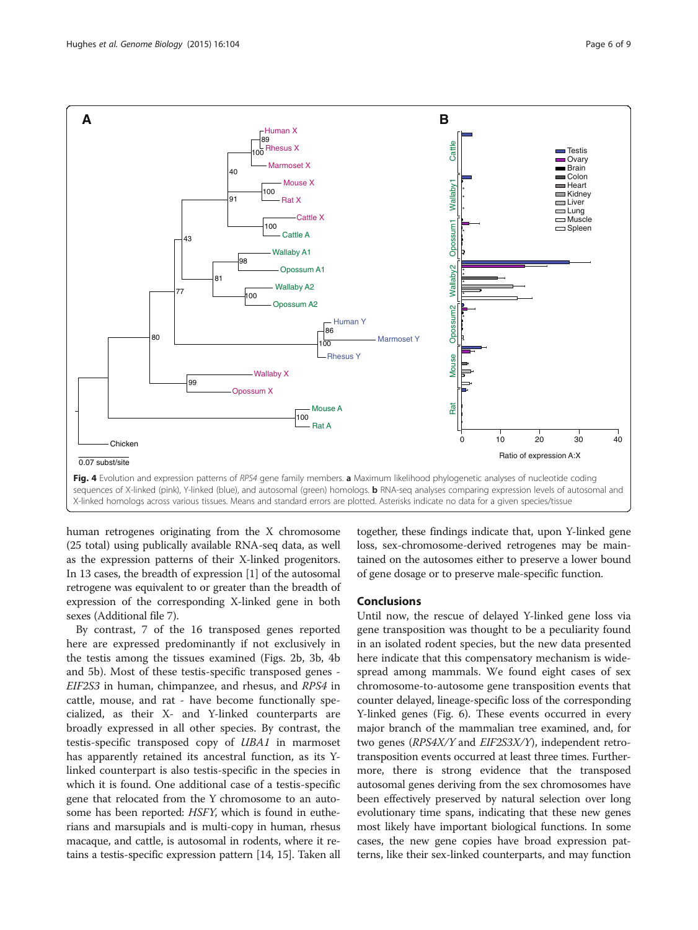

<span id="page-5-0"></span>

human retrogenes originating from the X chromosome (25 total) using publically available RNA-seq data, as well as the expression patterns of their X-linked progenitors. In 13 cases, the breadth of expression [[1\]](#page-8-0) of the autosomal retrogene was equivalent to or greater than the breadth of expression of the corresponding X-linked gene in both sexes (Additional file [7\)](#page-8-0).

By contrast, 7 of the 16 transposed genes reported here are expressed predominantly if not exclusively in the testis among the tissues examined (Figs. [2b,](#page-3-0) [3b](#page-4-0), 4b and [5b](#page-6-0)). Most of these testis-specific transposed genes - EIF2S3 in human, chimpanzee, and rhesus, and RPS4 in cattle, mouse, and rat - have become functionally specialized, as their X- and Y-linked counterparts are broadly expressed in all other species. By contrast, the testis-specific transposed copy of UBA1 in marmoset has apparently retained its ancestral function, as its Ylinked counterpart is also testis-specific in the species in which it is found. One additional case of a testis-specific gene that relocated from the Y chromosome to an autosome has been reported: HSFY, which is found in eutherians and marsupials and is multi-copy in human, rhesus macaque, and cattle, is autosomal in rodents, where it retains a testis-specific expression pattern [[14](#page-8-0), [15](#page-8-0)]. Taken all

together, these findings indicate that, upon Y-linked gene loss, sex-chromosome-derived retrogenes may be maintained on the autosomes either to preserve a lower bound of gene dosage or to preserve male-specific function.

## **Conclusions**

Until now, the rescue of delayed Y-linked gene loss via gene transposition was thought to be a peculiarity found in an isolated rodent species, but the new data presented here indicate that this compensatory mechanism is widespread among mammals. We found eight cases of sex chromosome-to-autosome gene transposition events that counter delayed, lineage-specific loss of the corresponding Y-linked genes (Fig. [6](#page-7-0)). These events occurred in every major branch of the mammalian tree examined, and, for two genes (RPS4X/Y and EIF2S3X/Y), independent retrotransposition events occurred at least three times. Furthermore, there is strong evidence that the transposed autosomal genes deriving from the sex chromosomes have been effectively preserved by natural selection over long evolutionary time spans, indicating that these new genes most likely have important biological functions. In some cases, the new gene copies have broad expression patterns, like their sex-linked counterparts, and may function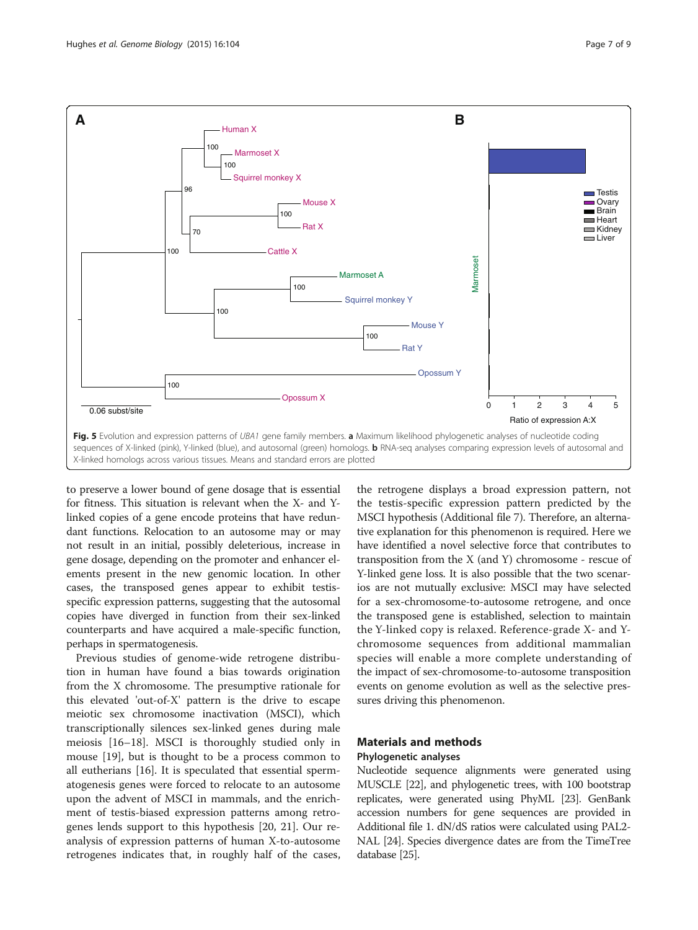<span id="page-6-0"></span>

to preserve a lower bound of gene dosage that is essential for fitness. This situation is relevant when the X- and Ylinked copies of a gene encode proteins that have redundant functions. Relocation to an autosome may or may not result in an initial, possibly deleterious, increase in gene dosage, depending on the promoter and enhancer elements present in the new genomic location. In other cases, the transposed genes appear to exhibit testisspecific expression patterns, suggesting that the autosomal copies have diverged in function from their sex-linked counterparts and have acquired a male-specific function, perhaps in spermatogenesis.

Previous studies of genome-wide retrogene distribution in human have found a bias towards origination from the X chromosome. The presumptive rationale for this elevated 'out-of-X' pattern is the drive to escape meiotic sex chromosome inactivation (MSCI), which transcriptionally silences sex-linked genes during male meiosis [[16](#page-8-0)–[18](#page-8-0)]. MSCI is thoroughly studied only in mouse [[19](#page-8-0)], but is thought to be a process common to all eutherians [[16\]](#page-8-0). It is speculated that essential spermatogenesis genes were forced to relocate to an autosome upon the advent of MSCI in mammals, and the enrichment of testis-biased expression patterns among retrogenes lends support to this hypothesis [[20, 21](#page-8-0)]. Our reanalysis of expression patterns of human X-to-autosome retrogenes indicates that, in roughly half of the cases,

the retrogene displays a broad expression pattern, not the testis-specific expression pattern predicted by the MSCI hypothesis (Additional file [7](#page-8-0)). Therefore, an alternative explanation for this phenomenon is required. Here we have identified a novel selective force that contributes to transposition from the X (and Y) chromosome - rescue of Y-linked gene loss. It is also possible that the two scenarios are not mutually exclusive: MSCI may have selected for a sex-chromosome-to-autosome retrogene, and once the transposed gene is established, selection to maintain the Y-linked copy is relaxed. Reference-grade X- and Ychromosome sequences from additional mammalian species will enable a more complete understanding of the impact of sex-chromosome-to-autosome transposition events on genome evolution as well as the selective pressures driving this phenomenon.

## Materials and methods

## Phylogenetic analyses

Nucleotide sequence alignments were generated using MUSCLE [\[22\]](#page-8-0), and phylogenetic trees, with 100 bootstrap replicates, were generated using PhyML [[23](#page-8-0)]. GenBank accession numbers for gene sequences are provided in Additional file [1](#page-7-0). dN/dS ratios were calculated using PAL2- NAL [\[24\]](#page-8-0). Species divergence dates are from the TimeTree database [\[25](#page-8-0)].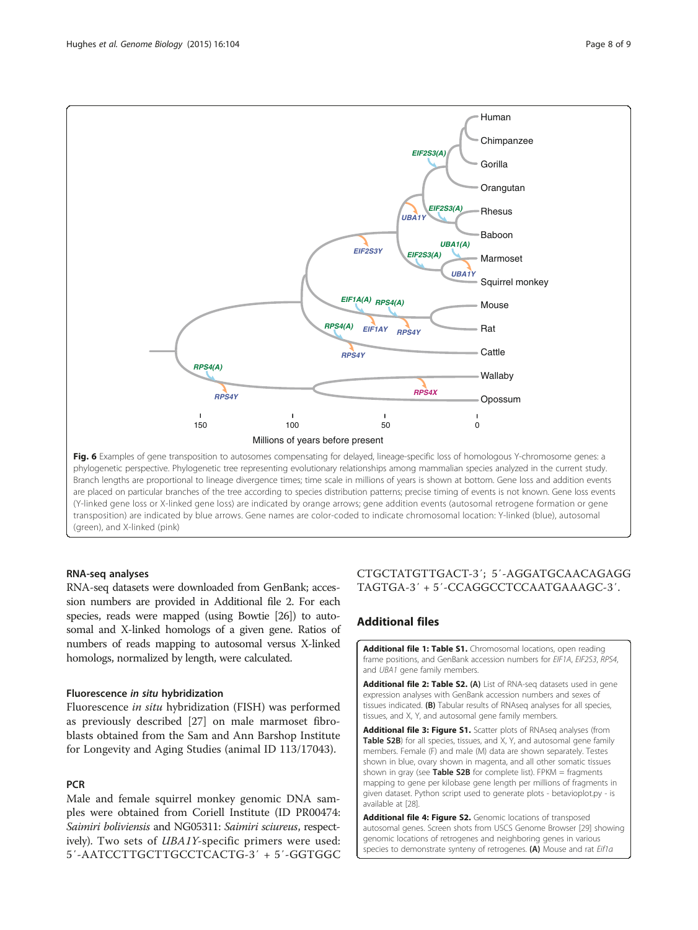<span id="page-7-0"></span>

Branch lengths are proportional to lineage divergence times; time scale in millions of years is shown at bottom. Gene loss and addition events are placed on particular branches of the tree according to species distribution patterns; precise timing of events is not known. Gene loss events (Y-linked gene loss or X-linked gene loss) are indicated by orange arrows; gene addition events (autosomal retrogene formation or gene transposition) are indicated by blue arrows. Gene names are color-coded to indicate chromosomal location: Y-linked (blue), autosomal (green), and X-linked (pink)

#### RNA-seq analyses

RNA-seq datasets were downloaded from GenBank; accession numbers are provided in Additional file 2. For each species, reads were mapped (using Bowtie [\[26\]](#page-8-0)) to autosomal and X-linked homologs of a given gene. Ratios of numbers of reads mapping to autosomal versus X-linked homologs, normalized by length, were calculated.

#### Fluorescence in situ hybridization

Fluorescence in situ hybridization (FISH) was performed as previously described [[27](#page-8-0)] on male marmoset fibroblasts obtained from the Sam and Ann Barshop Institute for Longevity and Aging Studies (animal ID 113/17043).

#### **PCR**

Male and female squirrel monkey genomic DNA samples were obtained from Coriell Institute (ID PR00474: Saimiri boliviensis and NG05311: Saimiri sciureus, respectively). Two sets of UBA1Y-specific primers were used: 5′-AATCCTTGCTTGCCTCACTG-3′ + 5′-GGTGGC

## CTGCTATGTTGACT-3′; 5′-AGGATGCAACAGAGG TAGTGA-3′ + 5′-CCAGGCCTCCAATGAAAGC-3′.

## Additional files

[Additional file 1: Table S1.](http://genomebiology.com/content/supplementary/s13059-015-0667-4-s1.xlsx) Chromosomal locations, open reading frame positions, and GenBank accession numbers for EIF1A, EIF2S3, RPS4, and UBA1 gene family members.

[Additional file 2: Table S2.](http://genomebiology.com/content/supplementary/s13059-015-0667-4-s2.xlsx) (A) List of RNA-seq datasets used in gene expression analyses with GenBank accession numbers and sexes of tissues indicated. (B) Tabular results of RNAseq analyses for all species, tissues, and X, Y, and autosomal gene family members.

[Additional file 3: Figure S1.](http://genomebiology.com/content/supplementary/s13059-015-0667-4-s3.pdf) Scatter plots of RNAseq analyses (from Table S2B) for all species, tissues, and X, Y, and autosomal gene family members. Female (F) and male (M) data are shown separately. Testes shown in blue, ovary shown in magenta, and all other somatic tissues shown in gray (see **Table S2B** for complete list). FPKM = fragments mapping to gene per kilobase gene length per millions of fragments in given dataset. Python script used to generate plots - betavioplot.py - is available at [[28](#page-8-0)].

[Additional file 4: Figure S2.](http://genomebiology.com/content/supplementary/s13059-015-0667-4-s4.pdf) Genomic locations of transposed autosomal genes. Screen shots from USCS Genome Browser [[29](#page-8-0)] showing genomic locations of retrogenes and neighboring genes in various species to demonstrate synteny of retrogenes. (A) Mouse and rat Eif1a